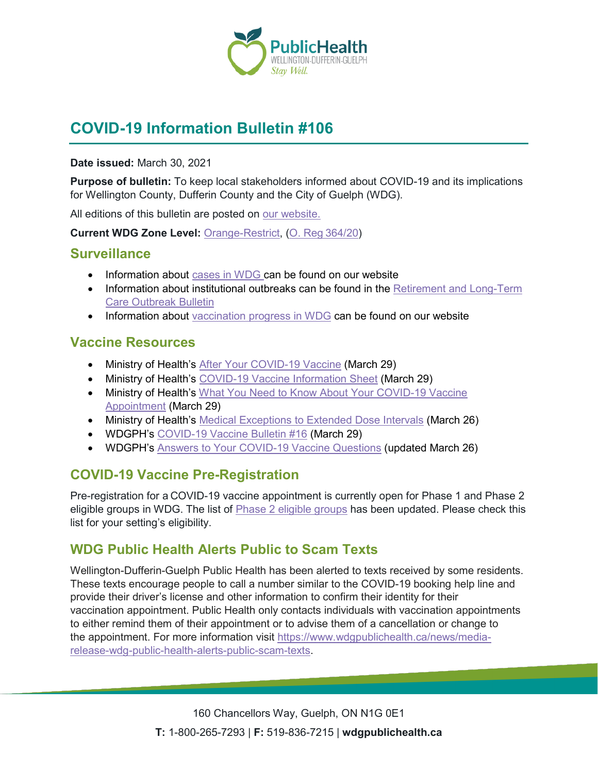

# **COVID-19 Information Bulletin #106**

**Date issued:** March 30, 2021

**Purpose of bulletin:** To keep local stakeholders informed about COVID-19 and its implications for Wellington County, Dufferin County and the City of Guelph (WDG).

All editions of this bulletin are posted on [our website.](https://www.wdgpublichealth.ca/your-health/covid-19-information-workplaces-and-living-spaces/community-stakeholder-bulletins)

**Current WDG Zone Level:** [Orange-Restrict,](https://www.ontario.ca/page/covid-19-response-framework-keeping-ontario-safe-and-open#orange) ([O. Reg](https://www.ontario.ca/laws/regulation/200364/v24)364/20)

#### **Surveillance**

- Information about [cases in WDG](https://wdgpublichealth.ca/your-health/covid-19-information-public/status-cases-wdg) can be found on our website
- Information about institutional outbreaks can be found in the Retirement and Long-Term [Care Outbreak Bulletin](https://wdgpublichealth.ca/node/1542)
- Information about [vaccination progress](https://www.wdgpublichealth.ca/your-health/covid-19-information-public/covid-19-vaccine-information-public) in WDG can be found on our website

### **Vaccine Resources**

- Ministry of Health's [After Your COVID-19 Vaccine](https://www.health.gov.on.ca/en/pro/programs/publichealth/coronavirus/docs/vaccine/COVID-19_after_your_vaccine.pdf) (March 29)
- Ministry of Health's [COVID-19 Vaccine Information Sheet](https://www.health.gov.on.ca/en/pro/programs/publichealth/coronavirus/docs/vaccine/COVID-19_vaccine_info_sheet.pdf) (March 29)
- Ministry of Health's What You Need to Know About Your COVID-19 Vaccine [Appointment](https://www.health.gov.on.ca/en/pro/programs/publichealth/coronavirus/docs/vaccine/COVID-19_know_about_your_vaccine_appt.pdf) (March 29)
- Ministry of Health's [Medical Exceptions to Extended Dose Intervals](https://www.health.gov.on.ca/en/pro/programs/publichealth/coronavirus/docs/vaccine/COVID_19_medical_exceptions_vaccine_dose_intervals.pdf) (March 26)
- WDGPH's [COVID-19 Vaccine Bulletin #16](https://www.wdgpublichealth.ca/sites/default/files/wdgph_covid-19_vaccine_bulletin_16_mar_29_2021.pdf) (March 29)
- WDGPH's [Answers to Your COVID-19 Vaccine Questions](https://www.wdgpublichealth.ca/your-health/covid-19-information-public/covid-19-vaccine-information/answers-your-covid-19-vaccine-0) (updated March 26)

# **COVID-19 Vaccine Pre-Registration**

Pre-registration for a COVID-19 vaccine appointment is currently open for Phase 1 and Phase 2 eligible groups in WDG. The list of **Phase 2 eligible groups** has been updated. Please check this list for your setting's eligibility.

### **WDG Public Health Alerts Public to Scam Texts**

Wellington-Dufferin-Guelph Public Health has been alerted to texts received by some residents. These texts encourage people to call a number similar to the COVID-19 booking help line and provide their driver's license and other information to confirm their identity for their vaccination appointment. Public Health only contacts individuals with vaccination appointments to either remind them of their appointment or to advise them of a cancellation or change to the appointment. For more information visit [https://www.wdgpublichealth.ca/news/media](https://www.wdgpublichealth.ca/news/media-release-wdg-public-health-alerts-public-scam-texts)[release-wdg-public-health-alerts-public-scam-texts.](https://www.wdgpublichealth.ca/news/media-release-wdg-public-health-alerts-public-scam-texts)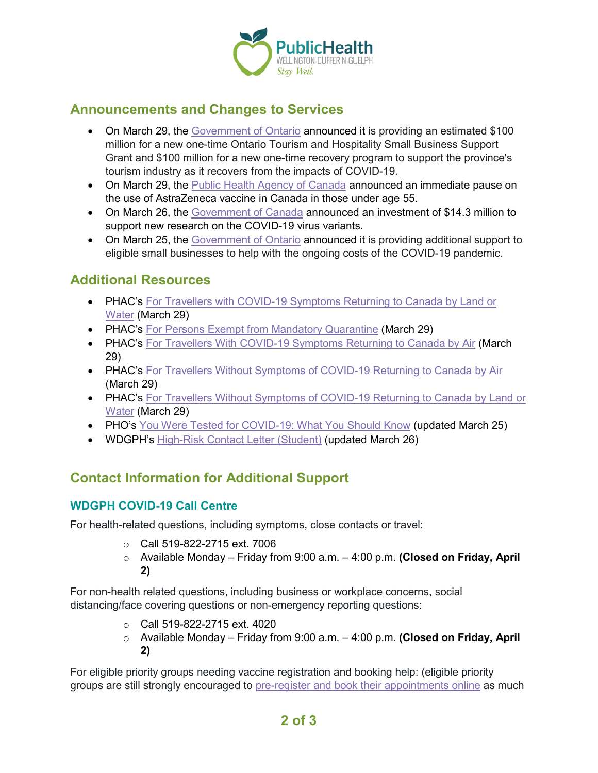

#### **Announcements and Changes to Services**

- On March 29, the [Government of Ontario](https://news.ontario.ca/en/release/60922/ontario-supports-the-tourism-and-hospitality-sectors-during-covid-19) announced it is providing an estimated \$100 million for a new one-time Ontario Tourism and Hospitality Small Business Support Grant and \$100 million for a new one-time recovery program to support the province's tourism industry as it recovers from the impacts of COVID-19.
- On March 29, the [Public Health Agency of Canada](https://www.canada.ca/en/public-health/news/2021/03/use-of-astrazeneca-covid-19-vaccine.html) announced an immediate pause on the use of AstraZeneca vaccine in Canada in those under age 55.
- On March 26, the [Government of Canada](https://www.canada.ca/en/institutes-health-research/news/2021/03/government-of-canada-invests-in-new-research-to-address-covid-19-variants.html) announced an investment of \$14.3 million to support new research on the COVID-19 virus variants.
- On March 25, the [Government of Ontario](https://news.ontario.ca/en/release/60884/ontarios-action-plan-doubles-ontario-small-business-support-grant) announced it is providing additional support to eligible small businesses to help with the ongoing costs of the COVID-19 pandemic.

#### **Additional Resources**

- PHAC's For Travellers with COVID-19 Symptoms Returning to Canada by Land or [Water](https://www.canada.ca/en/public-health/services/publications/diseases-conditions/travellers-with-covid-19-symptoms-returning-canada-land.html) (March 29)
- PHAC's [For Persons Exempt from Mandatory Quarantine](https://www.canada.ca/en/public-health/services/publications/diseases-conditions/covid-19-information-essential-service-workers.html) (March 29)
- PHAC's [For Travellers With COVID-19 Symptoms Returning to Canada by Air](https://www.canada.ca/en/public-health/services/publications/diseases-conditions/travellers-with-symptoms-return-canada.html) (March 29)
- PHAC's [For Travellers Without Symptoms of COVID-19 Returning to Canada by Air](https://www.canada.ca/en/public-health/services/publications/diseases-conditions/2019-novel-coronavirus-information-sheet.html) (March 29)
- PHAC's For Travellers Without Symptoms of COVID-19 Returning to Canada by Land or [Water](https://www.canada.ca/en/public-health/services/publications/diseases-conditions/travellers-without-covid-19-symptoms-returning-canada-land.html) (March 29)
- PHO's [You Were Tested for COVID-19:](https://www.publichealthontario.ca/-/media/documents/ncov/factsheet/2020/06/factsheet-covid-19-test-what-you-should-know.pdf?la=en) What You Should Know (updated March 25)
- WDGPH's [High-Risk Contact Letter \(Student\)](https://www.wdgpublichealth.ca/sites/default/files/hrc_letter_child_student_mar_26.pdf) (updated March 26)

# **Contact Information for Additional Support**

#### **WDGPH COVID-19 Call Centre**

For health-related questions, including symptoms, close contacts or travel:

- o Call 519-822-2715 ext. 7006
- o Available Monday Friday from 9:00 a.m. 4:00 p.m. **(Closed on Friday, April 2)**

For non-health related questions, including business or workplace concerns, social distancing/face covering questions or non-emergency reporting questions:

- o Call 519-822-2715 ext. 4020
- o Available Monday Friday from 9:00 a.m. 4:00 p.m. **(Closed on Friday, April 2)**

For eligible priority groups needing vaccine registration and booking help: (eligible priority groups are still strongly encouraged to [pre-register and book their appointments online](https://wdgpublichealth.ca/your-health/covid-19-information-public/covid-19-vaccine-information/pre-register-your-covid-19) as much